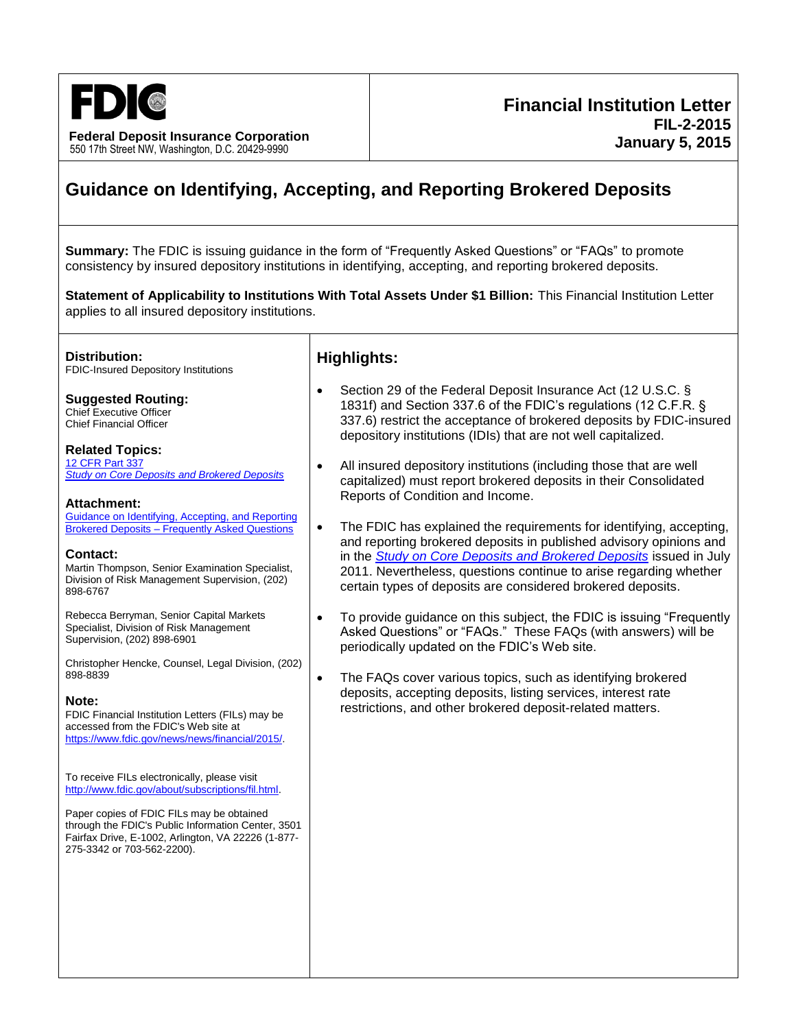

**Federal Deposit Insurance Corporation** 550 17th Street NW, Washington, D.C. 20429-9990

# **Guidance on Identifying, Accepting, and Reporting Brokered Deposits**

**Summary:** The FDIC is issuing guidance in the form of "Frequently Asked Questions" or "FAQs" to promote consistency by insured depository institutions in identifying, accepting, and reporting brokered deposits.

**Statement of Applicability to Institutions With Total Assets Under \$1 Billion:** This Financial Institution Letter applies to all insured depository institutions.

**Distribution:**

FDIC-Insured Depository Institutions

**Suggested Routing:** Chief Executive Officer Chief Financial Officer

**Related Topics:** [12 CFR Part 337](http://www.fdic.gov/regulations/laws/rules/2000-5900.html) *[Study on Core Deposits](http://www.fdic.gov/regulations/reform/coredeposit-study.pdf) and Brokered Deposits*

**Attachment:** [Guidance on Identifying, Accepting, and Reporting](http://www.fdic.gov/news/news/financial/2015/fil15002a.pdf) Brokered Deposits – [Frequently Asked Questions](http://www.fdic.gov/news/news/financial/2015/fil15002a.pdf)

#### **Contact:**

Martin Thompson, Senior Examination Specialist, Division of Risk Management Supervision, (202) 898-6767

Rebecca Berryman, Senior Capital Markets Specialist, Division of Risk Management Supervision, (202) 898-6901

Christopher Hencke, Counsel, Legal Division, (202) 898-8839

#### **Note:**

FDIC Financial Institution Letters (FILs) may be accessed from the FDIC's Web site at [https://www.fdic.gov/news/news/financial/2015/.](https://www.fdic.gov/news/news/financial/2015/)

To receive FILs electronically, please visit [http://www.fdic.gov/about/subscriptions/fil.html.](http://www.fdic.gov/about/subscriptions/index.html)

Paper copies of FDIC FILs may be obtained through the FDIC's Public Information Center, 3501 Fairfax Drive, E-1002, Arlington, VA 22226 (1-877- 275-3342 or 703-562-2200).

### **Highlights:**

- Section 29 of the Federal Deposit Insurance Act (12 U.S.C. § 1831f) and Section 337.6 of the FDIC's regulations (12 C.F.R. § 337.6) restrict the acceptance of brokered deposits by FDIC-insured depository institutions (IDIs) that are not well capitalized.
- All insured depository institutions (including those that are well capitalized) must report brokered deposits in their Consolidated Reports of Condition and Income.
- The FDIC has explained the requirements for identifying, accepting, and reporting brokered deposits in published advisory opinions and in the *[Study on Core Deposits and Brokered Deposits](http://www.fdic.gov/regulations/reform/coredeposit-study.pdf)* issued in July 2011. Nevertheless, questions continue to arise regarding whether certain types of deposits are considered brokered deposits.
- To provide guidance on this subject, the FDIC is issuing "Frequently Asked Questions" or "FAQs." These FAQs (with answers) will be periodically updated on the FDIC's Web site.
- The FAQs cover various topics, such as identifying brokered deposits, accepting deposits, listing services, interest rate restrictions, and other brokered deposit-related matters.